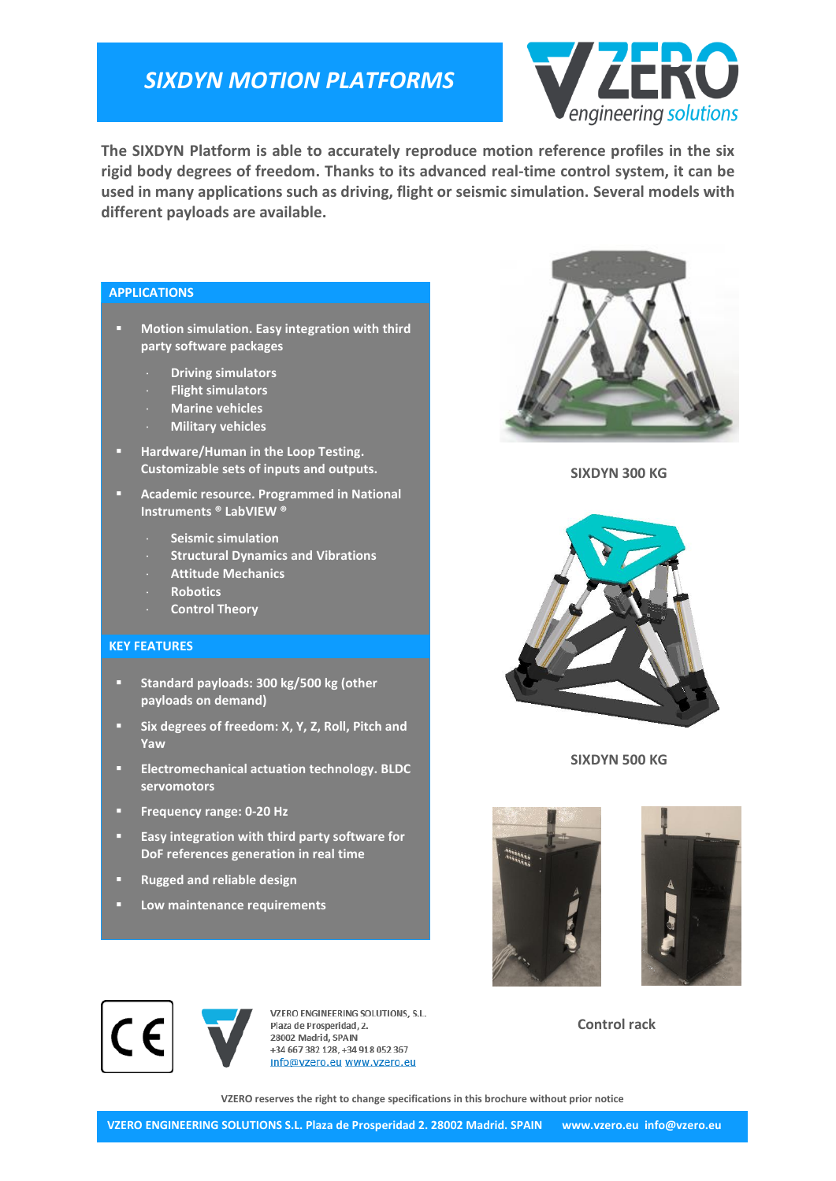## *SIXDYN MOTION PLATFORMS*



**The SIXDYN Platform is able to accurately reproduce motion reference profiles in the six rigid body degrees of freedom. Thanks to its advanced real-time control system, it can be used in many applications such as driving, flight or seismic simulation. Several models with different payloads are available.**

#### **APPLICATIONS**

- **Motion simulation. Easy integration with third party software packages**
	- **Driving simulators**
	- **Flight simulators**
	- **Marine vehicles**
	- **Military vehicles**
- **Hardware/Human in the Loop Testing. Customizable sets of inputs and outputs.**
- **Academic resource. Programmed in National Instruments ® LabVIEW ®**
	- **Seismic simulation**
	- **Structural Dynamics and Vibrations**
	- **Attitude Mechanics**
	- **Robotics**
	- **Control Theory**

#### **KEY FEATURES**

- **Standard payloads: 300 kg/500 kg (other payloads on demand)**
- **F** Six degrees of freedom: X, Y, Z, Roll, Pitch and **Yaw**
- **Electromechanical actuation technology. BLDC servomotors**
- **Frequency range: 0-20 Hz**
- **Easy integration with third party software for DoF references generation in real time**
- **Rugged and reliable design**
- **Low maintenance requirements**



**SIXDYN 300 KG**



**SIXDYN 500 KG**





VZERO ENGINEERING SOLUTIONS, S.L. Plaza de Prosperidad 2 28002 Madrid, SPAIN +34 667 382 128, +34 918 052 367 info@vzero.eu www.vzero.eu

**Control rack**

**VZERO reserves the right to change specifications in this brochure without prior notice**